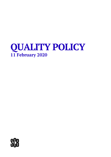# **QUALITY POLICY 11 February 2020**